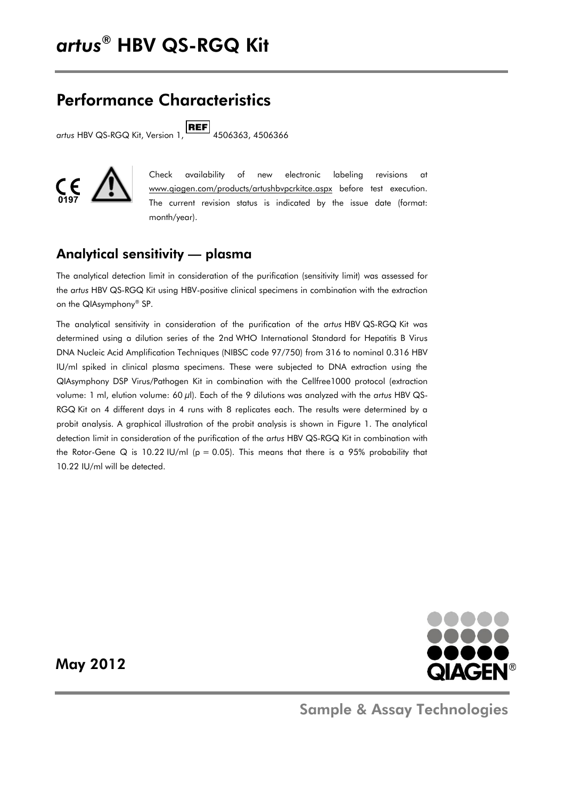# Performance Characteristics

artus HBV QS-RGQ Kit, Version 1, **REF** 4506363, 4506366



Check availability of new electronic labeling revisions at www.giagen.com/products/artushbvpcrkitce.aspx before test execution. The current revision status is indicated by the issue date (format: month/year).

### Analytical sensitivity — plasma

The analytical detection limit in consideration of the purification (sensitivity limit) was assessed for the *artus* HBV QS-RGQ Kit using HBV-positive clinical specimens in combination with the extraction on the QIAsymphony® SP.

The analytical sensitivity in consideration of the purification of the *artus* HBV QS-RGQ Kit was determined using a dilution series of the 2nd WHO International Standard for Hepatitis B Virus DNA Nucleic Acid Amplification Techniques (NIBSC code 97/750) from 316 to nominal 0.316 HBV IU/ml spiked in clinical plasma specimens. These were subjected to DNA extraction using the QIAsymphony DSP Virus/Pathogen Kit in combination with the Cellfree1000 protocol (extraction volume: 1 ml, elution volume: 60 µl). Each of the 9 dilutions was analyzed with the *artus* HBV QS-RGQ Kit on 4 different days in 4 runs with 8 replicates each. The results were determined by a probit analysis. A graphical illustration of the probit analysis is shown in Figure 1. The analytical detection limit in consideration of the purification of the *artus* HBV QS-RGQ Kit in combination with the Rotor-Gene Q is 10.22 IU/ml ( $p = 0.05$ ). This means that there is a 95% probability that 10.22 IU/ml will be detected.



May 2012

Sample & Assay Technologies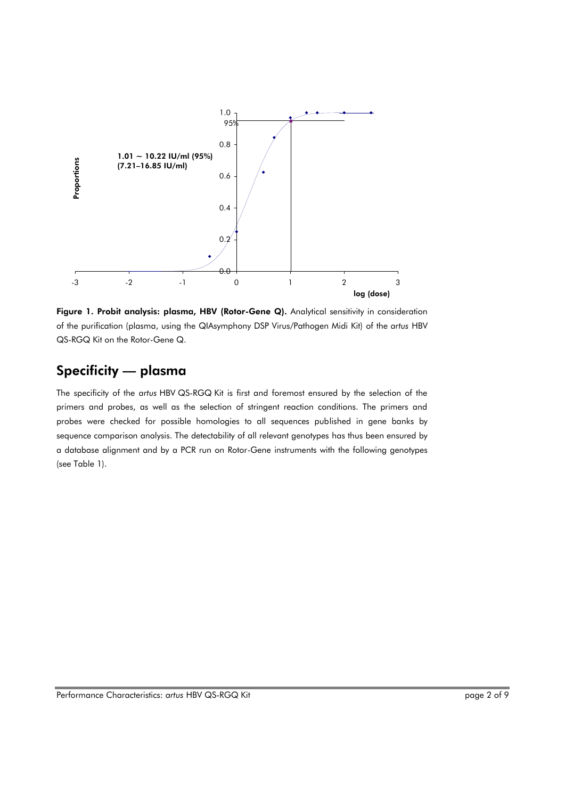

Figure 1. Probit analysis: plasma, HBV (Rotor-Gene Q). Analytical sensitivity in consideration of the purification (plasma, using the QIAsymphony DSP Virus/Pathogen Midi Kit) of the *artus* HBV QS-RGQ Kit on the Rotor-Gene Q.

## Specificity — plasma

The specificity of the *artus* HBV QS-RGQ Kit is first and foremost ensured by the selection of the primers and probes, as well as the selection of stringent reaction conditions. The primers and probes were checked for possible homologies to all sequences published in gene banks by sequence comparison analysis. The detectability of all relevant genotypes has thus been ensured by a database alignment and by a PCR run on Rotor-Gene instruments with the following genotypes (see Table 1).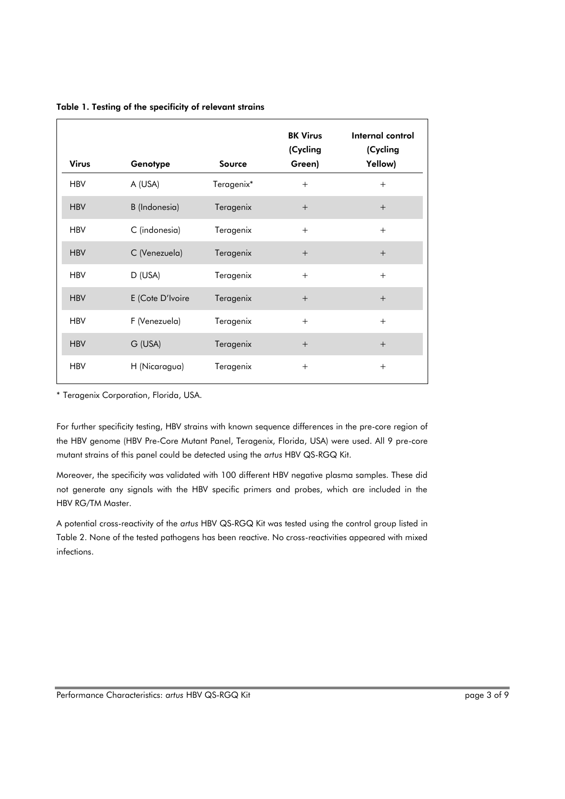|  |  |  |  | Table 1. Testing of the specificity of relevant strains |  |
|--|--|--|--|---------------------------------------------------------|--|
|--|--|--|--|---------------------------------------------------------|--|

| <b>Virus</b> | Genotype         | Source     | <b>BK Virus</b><br>(Cycling<br>Green) | Internal control<br>(Cycling<br>Yellow) |
|--------------|------------------|------------|---------------------------------------|-----------------------------------------|
| <b>HBV</b>   | A (USA)          | Teragenix* | $+$                                   | $+$                                     |
| <b>HBV</b>   | B (Indonesia)    | Teragenix  | $+$                                   | $^{+}$                                  |
| <b>HBV</b>   | C (indonesia)    | Teragenix  | $+$                                   | $+$                                     |
| <b>HBV</b>   | C (Venezuela)    | Teragenix  | $+$                                   | $+$                                     |
| <b>HBV</b>   | D (USA)          | Teragenix  | $+$                                   | $+$                                     |
| <b>HBV</b>   | E (Cote D'Ivoire | Teragenix  | $+$                                   | $+$                                     |
| <b>HBV</b>   | F (Venezuela)    | Teragenix  | $+$                                   | $+$                                     |
| <b>HBV</b>   | G (USA)          | Teragenix  | $^{+}$                                | $+$                                     |
| <b>HBV</b>   | H (Nicaragua)    | Teragenix  | $+$                                   | $^{+}$                                  |

\* Teragenix Corporation, Florida, USA.

For further specificity testing, HBV strains with known sequence differences in the pre-core region of the HBV genome (HBV Pre-Core Mutant Panel, Teragenix, Florida, USA) were used. All 9 pre-core mutant strains of this panel could be detected using the *artus* HBV QS-RGQ Kit.

Moreover, the specificity was validated with 100 different HBV negative plasma samples. These did not generate any signals with the HBV specific primers and probes, which are included in the HBV RG/TM Master.

A potential cross-reactivity of the *artus* HBV QS-RGQ Kit was tested using the control group listed in Table 2. None of the tested pathogens has been reactive. No cross-reactivities appeared with mixed infections.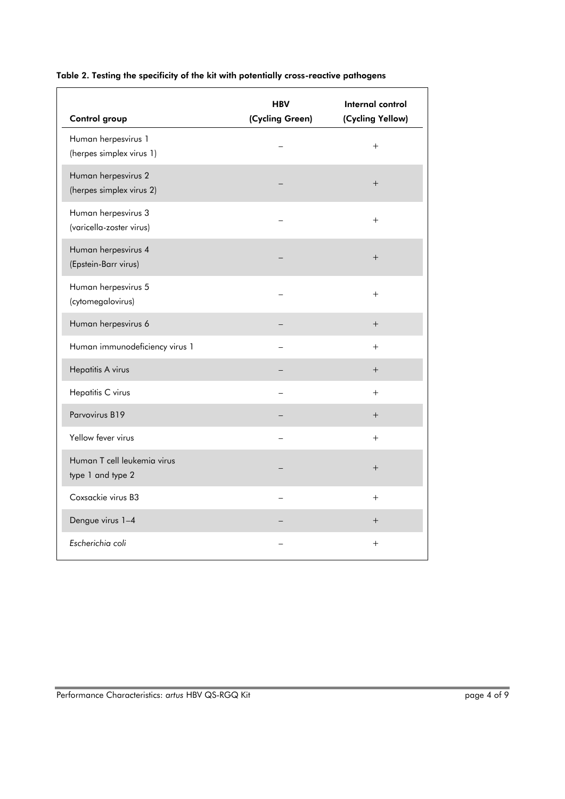| Control group                                    | <b>HBV</b><br>(Cycling Green) | Internal control<br>(Cycling Yellow) |
|--------------------------------------------------|-------------------------------|--------------------------------------|
| Human herpesvirus 1<br>(herpes simplex virus 1)  |                               | $+$                                  |
| Human herpesvirus 2<br>(herpes simplex virus 2)  |                               | $^{+}$                               |
| Human herpesvirus 3<br>(varicella-zoster virus)  |                               | $+$                                  |
| Human herpesvirus 4<br>(Epstein-Barr virus)      |                               | $+$                                  |
| Human herpesvirus 5<br>(cytomegalovirus)         |                               | $+$                                  |
| Human herpesvirus 6                              |                               | $+$                                  |
| Human immunodeficiency virus 1                   |                               | $+$                                  |
| Hepatitis A virus                                |                               | $^{+}$                               |
| Hepatitis C virus                                |                               | $+$                                  |
| Parvovirus B19                                   |                               | $+$                                  |
| Yellow fever virus                               |                               | $+$                                  |
| Human T cell leukemia virus<br>type 1 and type 2 |                               | $+$                                  |
| Coxsackie virus B3                               |                               | $+$                                  |
| Dengue virus 1-4                                 |                               | $+$                                  |
| Escherichia coli                                 |                               | $+$                                  |

### Table 2. Testing the specificity of the kit with potentially cross-reactive pathogens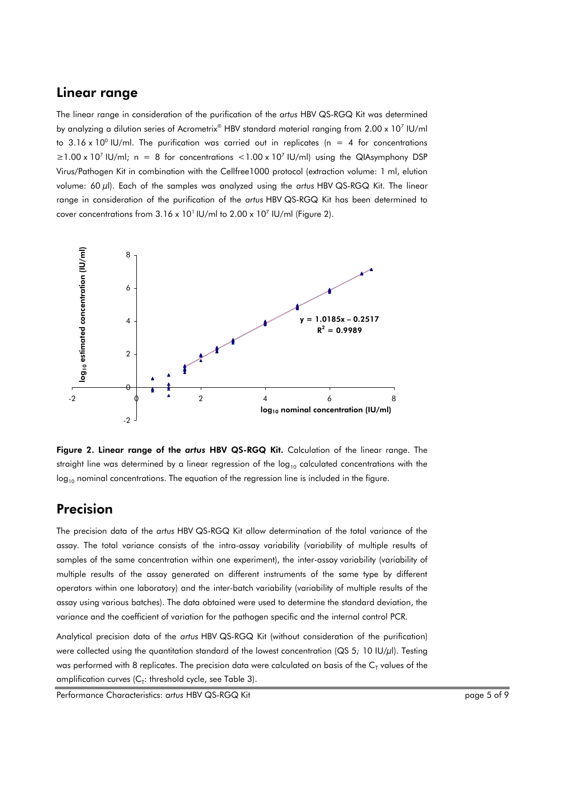### Linear range

The linear range in consideration of the purification of the *artus* HBV QS-RGQ Kit was determined by analyzing a dilution series of Acrometrix® HBV standard material ranging from 2.00 x 10<sup>7</sup> IU/ml to 3.16 x 10 $^{\circ}$  IU/ml. The purification was carried out in replicates (n = 4 for concentrations  $\geq$ 1.00 x 10<sup>7</sup> IU/ml; n = 8 for concentrations <1.00 x 10<sup>7</sup> IU/ml) using the QIAsymphony DSP Virus/Pathogen Kit in combination with the Cellfree1000 protocol (extraction volume: 1 ml, elution volume: 60 µl). Each of the samples was analyzed using the *artus* HBV QS-RGQ Kit. The linear range in consideration of the purification of the *artus* HBV QS-RGQ Kit has been determined to cover concentrations from  $3.16 \times 10^{1}$  IU/ml to  $2.00 \times 10^{7}$  IU/ml (Figure 2).



Figure 2. Linear range of the *artus* HBV QS-RGQ Kit. Calculation of the linear range. The straight line was determined by a linear regression of the  $log_{10}$  calculated concentrations with the  $log<sub>10</sub>$  nominal concentrations. The equation of the regression line is included in the figure.

### Precision

The precision data of the *artus* HBV QS-RGQ Kit allow determination of the total variance of the assay. The total variance consists of the intra-assay variability (variability of multiple results of samples of the same concentration within one experiment), the inter-assay variability (variability of multiple results of the assay generated on different instruments of the same type by different operators within one laboratory) and the inter-batch variability (variability of multiple results of the assay using various batches). The data obtained were used to determine the standard deviation, the variance and the coefficient of variation for the pathogen specific and the internal control PCR.

Analytical precision data of the *artus* HBV QS-RGQ Kit (without consideration of the purification) were collected using the quantitation standard of the lowest concentration (QS 5*;* 10 IU/µl). Testing was performed with 8 replicates. The precision data were calculated on basis of the  ${\sf C}_{\sf T}$  values of the amplification curves (C $_{\rm r}$ : threshold cycle, see Table 3).

Performance Characteristics: *artus* HBV QS-RGQ Kit page 5 of 9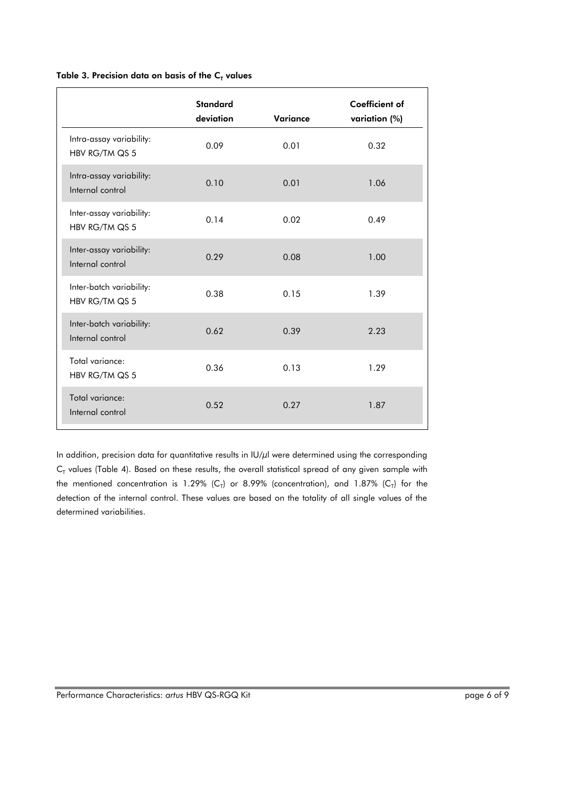#### Table 3. Precision data on basis of the  $C_T$  values

|                                              | <b>Standard</b><br>deviation | Variance | <b>Coefficient of</b><br>variation (%) |
|----------------------------------------------|------------------------------|----------|----------------------------------------|
| Intra-assay variability:<br>HBV RG/TM QS 5   | 0.09                         | 0.01     | 0.32                                   |
| Intra-assay variability:<br>Internal control | 0.10                         | 0.01     | 1.06                                   |
| Inter-assay variability:<br>HBV RG/TM QS 5   | 0.14                         | 0.02     | 0.49                                   |
| Inter-assay variability:<br>Internal control | 0.29                         | 0.08     | 1.00                                   |
| Inter-batch variability:<br>HBV RG/TM QS 5   | 0.38                         | 0.15     | 1.39                                   |
| Inter-batch variability:<br>Internal control | 0.62                         | 0.39     | 2.23                                   |
| Total variance:<br>HBV RG/TM QS 5            | 0.36                         | 0.13     | 1.29                                   |
| Total variance:<br>Internal control          | 0.52                         | 0.27     | 1.87                                   |

In addition, precision data for quantitative results in IU/µl were determined using the corresponding  $\mathsf{C}_{\mathsf{T}}$  values (Table 4). Based on these results, the overall statistical spread of any given sample with the mentioned concentration is 1.29% (C<sub>T</sub>) or 8.99% (concentration), and 1.87% (C<sub>T</sub>) for the detection of the internal control. These values are based on the totality of all single values of the determined variabilities.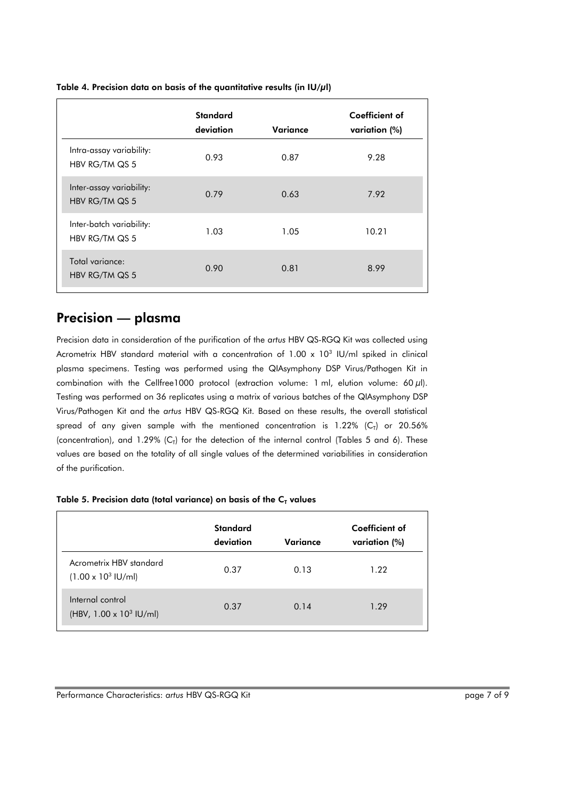|                                            | <b>Standard</b><br>deviation | Variance | Coefficient of<br>variation (%) |
|--------------------------------------------|------------------------------|----------|---------------------------------|
| Intra-assay variability:<br>HBV RG/TM QS 5 | 0.93                         | 0.87     | 9.28                            |
| Inter-assay variability:<br>HBV RG/TM QS 5 | 0.79                         | 0.63     | 7.92                            |
| Inter-batch variability:<br>HBV RG/TM QS 5 | 1.03                         | 1.05     | 10.21                           |
| Total variance:<br>HBV RG/TM QS 5          | 0.90                         | 0.81     | 8.99                            |

#### Table 4. Precision data on basis of the quantitative results (in IU/µl)

### Precision — plasma

Precision data in consideration of the purification of the *artus* HBV QS-RGQ Kit was collected using Acrometrix HBV standard material with a concentration of 1.00 x 10<sup>3</sup> IU/ml spiked in clinical plasma specimens. Testing was performed using the QIAsymphony DSP Virus/Pathogen Kit in combination with the Cellfree1000 protocol (extraction volume: 1 ml, elution volume:  $60 \mu$ l). Testing was performed on 36 replicates using a matrix of various batches of the QIAsymphony DSP Virus/Pathogen Kit and the *artus* HBV QS-RGQ Kit. Based on these results, the overall statistical spread of any given sample with the mentioned concentration is 1.22% (C<sub>T</sub>) or 20.56% (concentration), and 1.29% ( $C_T$ ) for the detection of the internal control (Tables 5 and 6). These values are based on the totality of all single values of the determined variabilities in consideration of the purification.

| Table 5. Precision data (total variance) on basis of the $CT$ values |  |  |
|----------------------------------------------------------------------|--|--|
|----------------------------------------------------------------------|--|--|

|                                                               | <b>Standard</b><br>deviation | Variance | Coefficient of<br>variation (%) |
|---------------------------------------------------------------|------------------------------|----------|---------------------------------|
| Acrometrix HBV standard<br>$(1.00 \times 10^3 \text{ IU/ml})$ | 0.37                         | 0.13     | 1.22                            |
| Internal control<br>(HBV, $1.00 \times 10^3$ IU/ml)           | 0.37                         | 0.14     | 1.29                            |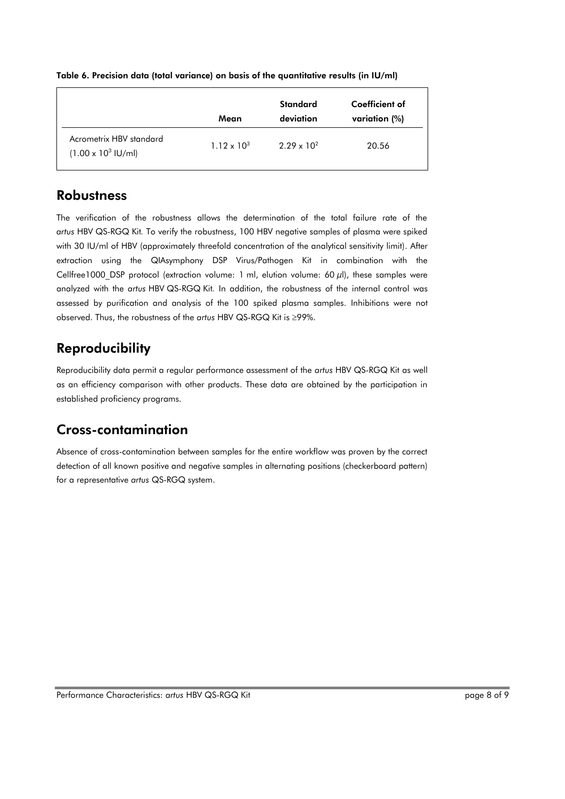|                                                               | Mean                 | <b>Standard</b><br>deviation | Coefficient of<br>variation (%) |
|---------------------------------------------------------------|----------------------|------------------------------|---------------------------------|
| Acrometrix HBV standard<br>$(1.00 \times 10^3 \text{ IU/ml})$ | $1.12 \times 10^{3}$ | $2.29 \times 10^{2}$         | 20.56                           |

#### Table 6. Precision data (total variance) on basis of the quantitative results (in IU/ml)

### **Robustness**

The verification of the robustness allows the determination of the total failure rate of the *artus* HBV QS-RGQ Kit*.* To verify the robustness, 100 HBV negative samples of plasma were spiked with 30 IU/ml of HBV (approximately threefold concentration of the analytical sensitivity limit). After extraction using the QIAsymphony DSP Virus/Pathogen Kit in combination with the Cellfree1000 DSP protocol (extraction volume: 1 ml, elution volume: 60  $\mu$ l), these samples were analyzed with the *artus* HBV QS-RGQ Kit*.* In addition, the robustness of the internal control was assessed by purification and analysis of the 100 spiked plasma samples. Inhibitions were not observed. Thus, the robustness of the artus HBV QS-RGQ Kit is  $\geq$ 99%.

## Reproducibility

Reproducibility data permit a regular performance assessment of the *artus* HBV QS-RGQ Kit as well as an efficiency comparison with other products. These data are obtained by the participation in established proficiency programs.

### Cross-contamination

Absence of cross-contamination between samples for the entire workflow was proven by the correct detection of all known positive and negative samples in alternating positions (checkerboard pattern) for a representative *artus* QS-RGQ system.